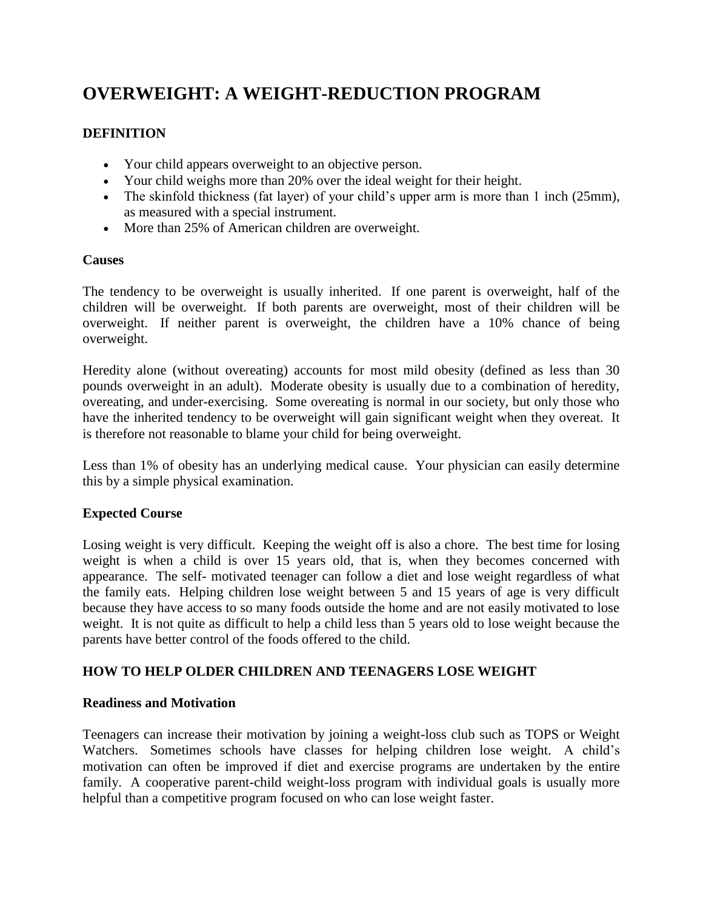# **OVERWEIGHT: A WEIGHT-REDUCTION PROGRAM**

# **DEFINITION**

- Your child appears overweight to an objective person.
- Your child weighs more than 20% over the ideal weight for their height.
- The skinfold thickness (fat layer) of your child's upper arm is more than 1 inch (25mm), as measured with a special instrument.
- More than 25% of American children are overweight.

#### **Causes**

The tendency to be overweight is usually inherited. If one parent is overweight, half of the children will be overweight. If both parents are overweight, most of their children will be overweight. If neither parent is overweight, the children have a 10% chance of being overweight.

Heredity alone (without overeating) accounts for most mild obesity (defined as less than 30 pounds overweight in an adult). Moderate obesity is usually due to a combination of heredity, overeating, and under-exercising. Some overeating is normal in our society, but only those who have the inherited tendency to be overweight will gain significant weight when they overeat. It is therefore not reasonable to blame your child for being overweight.

Less than 1% of obesity has an underlying medical cause. Your physician can easily determine this by a simple physical examination.

#### **Expected Course**

Losing weight is very difficult. Keeping the weight off is also a chore. The best time for losing weight is when a child is over 15 years old, that is, when they becomes concerned with appearance. The self- motivated teenager can follow a diet and lose weight regardless of what the family eats. Helping children lose weight between 5 and 15 years of age is very difficult because they have access to so many foods outside the home and are not easily motivated to lose weight. It is not quite as difficult to help a child less than 5 years old to lose weight because the parents have better control of the foods offered to the child.

#### **HOW TO HELP OLDER CHILDREN AND TEENAGERS LOSE WEIGHT**

#### **Readiness and Motivation**

Teenagers can increase their motivation by joining a weight-loss club such as TOPS or Weight Watchers. Sometimes schools have classes for helping children lose weight. A child's motivation can often be improved if diet and exercise programs are undertaken by the entire family. A cooperative parent-child weight-loss program with individual goals is usually more helpful than a competitive program focused on who can lose weight faster.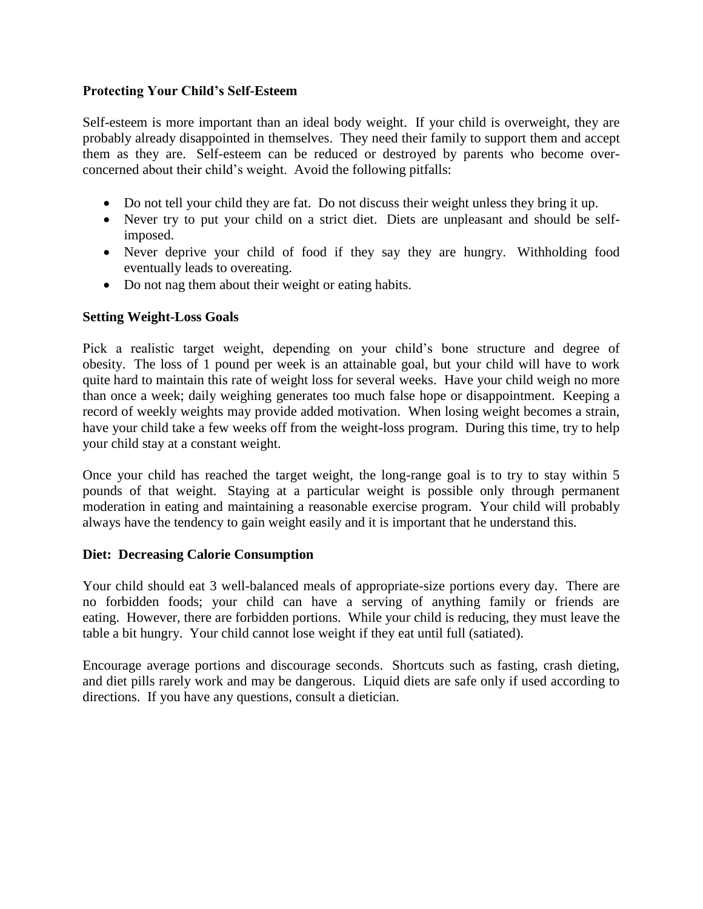#### **Protecting Your Child's Self-Esteem**

Self-esteem is more important than an ideal body weight. If your child is overweight, they are probably already disappointed in themselves. They need their family to support them and accept them as they are. Self-esteem can be reduced or destroyed by parents who become overconcerned about their child's weight. Avoid the following pitfalls:

- Do not tell your child they are fat. Do not discuss their weight unless they bring it up.
- Never try to put your child on a strict diet. Diets are unpleasant and should be selfimposed.
- Never deprive your child of food if they say they are hungry. Withholding food eventually leads to overeating.
- Do not nag them about their weight or eating habits.

#### **Setting Weight-Loss Goals**

Pick a realistic target weight, depending on your child's bone structure and degree of obesity. The loss of 1 pound per week is an attainable goal, but your child will have to work quite hard to maintain this rate of weight loss for several weeks. Have your child weigh no more than once a week; daily weighing generates too much false hope or disappointment. Keeping a record of weekly weights may provide added motivation. When losing weight becomes a strain, have your child take a few weeks off from the weight-loss program. During this time, try to help your child stay at a constant weight.

Once your child has reached the target weight, the long-range goal is to try to stay within 5 pounds of that weight. Staying at a particular weight is possible only through permanent moderation in eating and maintaining a reasonable exercise program. Your child will probably always have the tendency to gain weight easily and it is important that he understand this.

#### **Diet: Decreasing Calorie Consumption**

Your child should eat 3 well-balanced meals of appropriate-size portions every day. There are no forbidden foods; your child can have a serving of anything family or friends are eating. However, there are forbidden portions. While your child is reducing, they must leave the table a bit hungry. Your child cannot lose weight if they eat until full (satiated).

Encourage average portions and discourage seconds. Shortcuts such as fasting, crash dieting, and diet pills rarely work and may be dangerous. Liquid diets are safe only if used according to directions. If you have any questions, consult a dietician.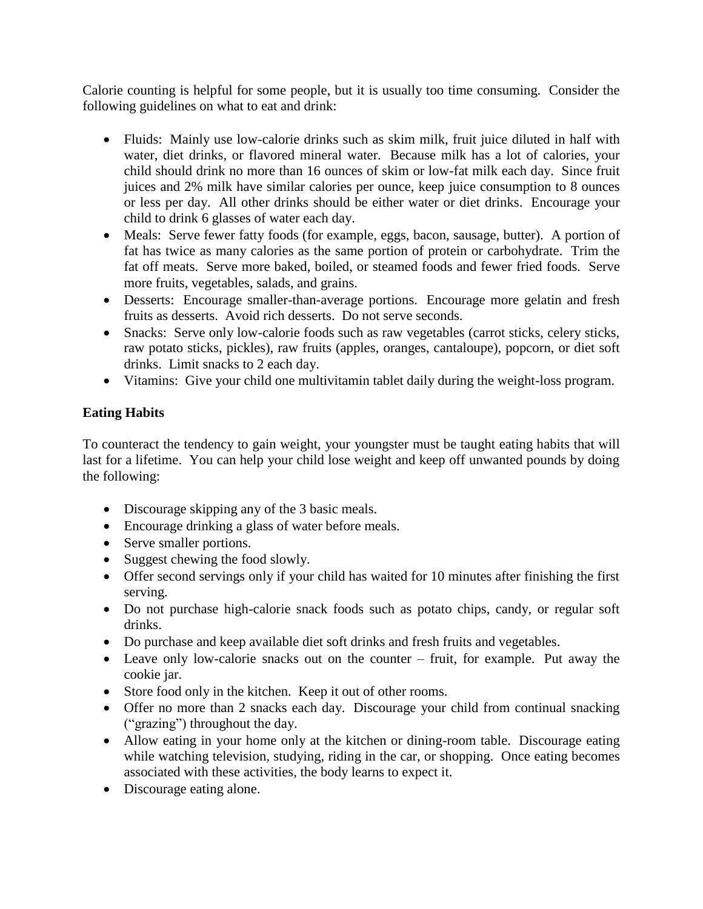Calorie counting is helpful for some people, but it is usually too time consuming. Consider the following guidelines on what to eat and drink:

- Fluids: Mainly use low-calorie drinks such as skim milk, fruit juice diluted in half with water, diet drinks, or flavored mineral water. Because milk has a lot of calories, your child should drink no more than 16 ounces of skim or low-fat milk each day. Since fruit juices and 2% milk have similar calories per ounce, keep juice consumption to 8 ounces or less per day. All other drinks should be either water or diet drinks. Encourage your child to drink 6 glasses of water each day.
- Meals: Serve fewer fatty foods (for example, eggs, bacon, sausage, butter). A portion of fat has twice as many calories as the same portion of protein or carbohydrate. Trim the fat off meats. Serve more baked, boiled, or steamed foods and fewer fried foods. Serve more fruits, vegetables, salads, and grains.
- Desserts: Encourage smaller-than-average portions. Encourage more gelatin and fresh fruits as desserts. Avoid rich desserts. Do not serve seconds.
- Snacks: Serve only low-calorie foods such as raw vegetables (carrot sticks, celery sticks, raw potato sticks, pickles), raw fruits (apples, oranges, cantaloupe), popcorn, or diet soft drinks. Limit snacks to 2 each day.
- Vitamins: Give your child one multivitamin tablet daily during the weight-loss program.

# **Eating Habits**

To counteract the tendency to gain weight, your youngster must be taught eating habits that will last for a lifetime. You can help your child lose weight and keep off unwanted pounds by doing the following:

- Discourage skipping any of the 3 basic meals.
- Encourage drinking a glass of water before meals.
- Serve smaller portions.
- Suggest chewing the food slowly.
- Offer second servings only if your child has waited for 10 minutes after finishing the first serving.
- Do not purchase high-calorie snack foods such as potato chips, candy, or regular soft drinks.
- Do purchase and keep available diet soft drinks and fresh fruits and vegetables.
- Leave only low-calorie snacks out on the counter fruit, for example. Put away the cookie jar.
- Store food only in the kitchen. Keep it out of other rooms.
- Offer no more than 2 snacks each day. Discourage your child from continual snacking ("grazing") throughout the day.
- Allow eating in your home only at the kitchen or dining-room table. Discourage eating while watching television, studying, riding in the car, or shopping. Once eating becomes associated with these activities, the body learns to expect it.
- Discourage eating alone.